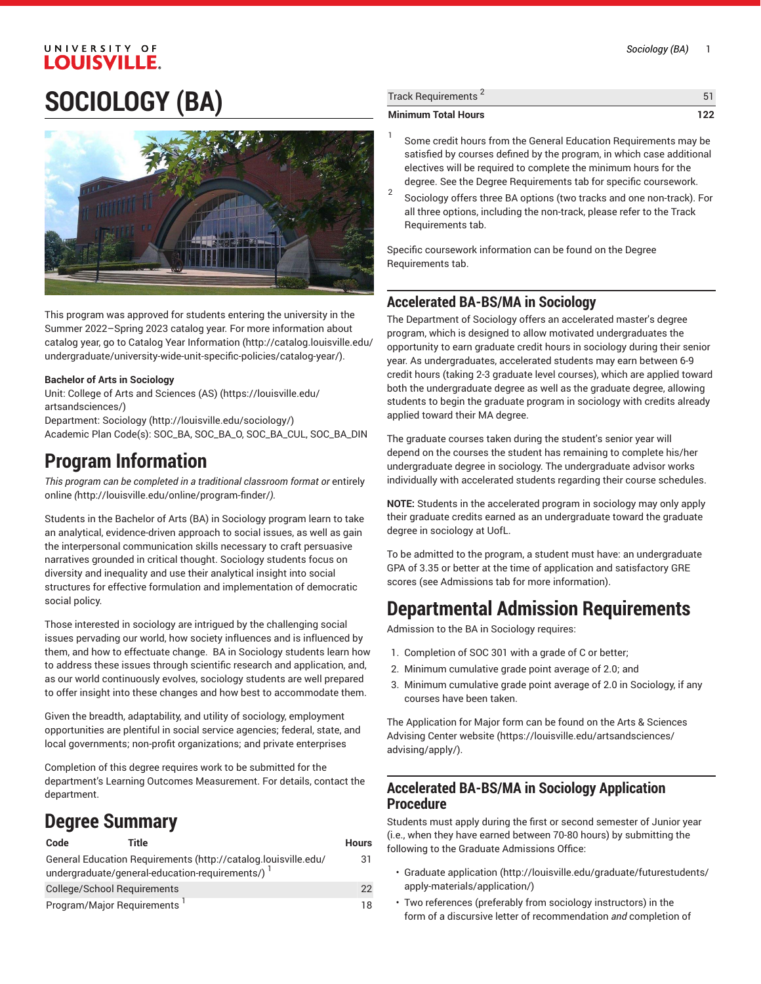# UNIVERSITY OF **LOUISVILLE SOCIOLOGY (BA)**



This program was approved for students entering the university in the Summer 2022–Spring 2023 catalog year. For more information about catalog year, go to Catalog Year [Information](http://catalog.louisville.edu/undergraduate/university-wide-unit-specific-policies/catalog-year/) ([http://catalog.louisville.edu/](http://catalog.louisville.edu/undergraduate/university-wide-unit-specific-policies/catalog-year/) [undergraduate/university-wide-unit-specific-policies/catalog-year/](http://catalog.louisville.edu/undergraduate/university-wide-unit-specific-policies/catalog-year/)).

### **Bachelor of Arts in Sociology**

Unit: College of Arts and [Sciences](https://louisville.edu/artsandsciences/) (AS) ([https://louisville.edu/](https://louisville.edu/artsandsciences/) [artsandsciences/\)](https://louisville.edu/artsandsciences/)

Department: [Sociology](http://louisville.edu/sociology/) (<http://louisville.edu/sociology/>) Academic Plan Code(s): SOC\_BA, SOC\_BA\_O, SOC\_BA\_CUL, SOC\_BA\_DIN

## **Program Information**

*This program can be completed in a traditional classroom format or* [entirely](http://louisville.edu/online/program-finder/) [online](http://louisville.edu/online/program-finder/) *(*<http://louisville.edu/online/program-finder/>*).*

Students in the Bachelor of Arts (BA) in Sociology program learn to take an analytical, evidence-driven approach to social issues, as well as gain the interpersonal communication skills necessary to craft persuasive narratives grounded in critical thought. Sociology students focus on diversity and inequality and use their analytical insight into social structures for effective formulation and implementation of democratic social policy.

Those interested in sociology are intrigued by the challenging social issues pervading our world, how society influences and is influenced by them, and how to effectuate change. BA in Sociology students learn how to address these issues through scientific research and application, and, as our world continuously evolves, sociology students are well prepared to offer insight into these changes and how best to accommodate them.

Given the breadth, adaptability, and utility of sociology, employment opportunities are plentiful in social service agencies; federal, state, and local governments; non-profit organizations; and private enterprises

Completion of this degree requires work to be submitted for the department's Learning Outcomes Measurement. For details, contact the department.

# **Degree Summary**

| Code                                    | Title                                                          | <b>Hours</b> |
|-----------------------------------------|----------------------------------------------------------------|--------------|
|                                         | General Education Requirements (http://catalog.louisville.edu/ | 31           |
|                                         | undergraduate/general-education-requirements/)                 |              |
| College/School Requirements             |                                                                | 22           |
| Program/Major Requirements <sup>1</sup> |                                                                | 18           |

| <b>Minimum Total Hours</b>      | 122 |
|---------------------------------|-----|
| Track Requirements <sup>2</sup> |     |
|                                 |     |

- 1 Some credit hours from the General Education Requirements may be satisfied by courses defined by the program, in which case additional electives will be required to complete the minimum hours for the degree. See the Degree Requirements tab for specific coursework.
- 2 Sociology offers three BA options (two tracks and one non-track). For all three options, including the non-track, please refer to the Track Requirements tab.

Specific coursework information can be found on the Degree Requirements tab.

## **Accelerated BA-BS/MA in Sociology**

The Department of Sociology offers an accelerated master's degree program, which is designed to allow motivated undergraduates the opportunity to earn graduate credit hours in sociology during their senior year. As undergraduates, accelerated students may earn between 6-9 credit hours (taking 2-3 graduate level courses), which are applied toward both the undergraduate degree as well as the graduate degree, allowing students to begin the graduate program in sociology with credits already applied toward their MA degree.

The graduate courses taken during the student's senior year will depend on the courses the student has remaining to complete his/her undergraduate degree in sociology. The undergraduate advisor works individually with accelerated students regarding their course schedules.

**NOTE:** Students in the accelerated program in sociology may only apply their graduate credits earned as an undergraduate toward the graduate degree in sociology at UofL.

To be admitted to the program, a student must have: an undergraduate GPA of 3.35 or better at the time of application and satisfactory GRE scores (see Admissions tab for more information).

# **Departmental Admission Requirements**

Admission to the BA in Sociology requires:

- 1. Completion of SOC 301 with a grade of C or better;
- 2. Minimum cumulative grade point average of 2.0; and
- 3. Minimum cumulative grade point average of 2.0 in Sociology, if any courses have been taken.

The Application for Major form can be found on the Arts & [Sciences](https://louisville.edu/artsandsciences/advising/apply/) [Advising Center website](https://louisville.edu/artsandsciences/advising/apply/) ([https://louisville.edu/artsandsciences/](https://louisville.edu/artsandsciences/advising/apply/) [advising/apply/\)](https://louisville.edu/artsandsciences/advising/apply/).

## **Accelerated BA-BS/MA in Sociology Application Procedure**

Students must apply during the first or second semester of Junior year (i.e., when they have earned between 70-80 hours) by submitting the following to the Graduate Admissions Office:

- [Graduate application](http://louisville.edu/graduate/futurestudents/apply-materials/application/) [\(http://louisville.edu/graduate/futurestudents/](http://louisville.edu/graduate/futurestudents/apply-materials/application/) [apply-materials/application/](http://louisville.edu/graduate/futurestudents/apply-materials/application/))
- Two references (preferably from sociology instructors) in the form of a discursive letter of recommendation *and* completion of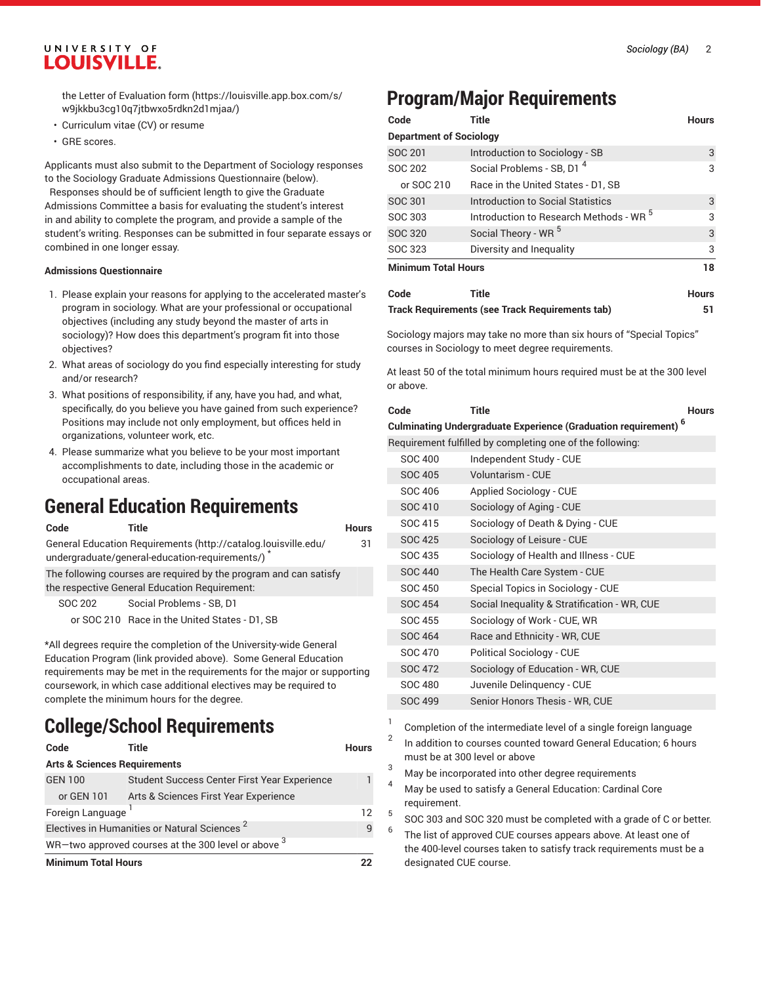the Letter of [Evaluation](https://louisville.app.box.com/s/w9jkkbu3cg10q7jtbwxo5rdkn2d1mjaa/) form [\(https://louisville.app.box.com/s/](https://louisville.app.box.com/s/w9jkkbu3cg10q7jtbwxo5rdkn2d1mjaa/) [w9jkkbu3cg10q7jtbwxo5rdkn2d1mjaa/](https://louisville.app.box.com/s/w9jkkbu3cg10q7jtbwxo5rdkn2d1mjaa/))

- Curriculum vitae (CV) or resume
- GRE scores.

Applicants must also submit to the Department of Sociology responses to the Sociology Graduate Admissions Questionnaire (below). Responses should be of sufficient length to give the Graduate Admissions Committee a basis for evaluating the student's interest in and ability to complete the program, and provide a sample of the student's writing. Responses can be submitted in four separate essays or

### **Admissions Questionnaire**

combined in one longer essay.

- 1. Please explain your reasons for applying to the accelerated master's program in sociology. What are your professional or occupational objectives (including any study beyond the master of arts in sociology)? How does this department's program fit into those objectives?
- 2. What areas of sociology do you find especially interesting for study and/or research?
- 3. What positions of responsibility, if any, have you had, and what, specifically, do you believe you have gained from such experience? Positions may include not only employment, but offices held in organizations, volunteer work, etc.
- 4. Please summarize what you believe to be your most important accomplishments to date, including those in the academic or occupational areas.

## **General Education Requirements**

| Code                                                                                                                                                                                       | Title                                                                                                                                 | <b>Hours</b> |   | SOC 415        | Sociology of Death & Dying - CU                                                                                                                                                                                                                                                                                                                                                                                                        |
|--------------------------------------------------------------------------------------------------------------------------------------------------------------------------------------------|---------------------------------------------------------------------------------------------------------------------------------------|--------------|---|----------------|----------------------------------------------------------------------------------------------------------------------------------------------------------------------------------------------------------------------------------------------------------------------------------------------------------------------------------------------------------------------------------------------------------------------------------------|
| General Education Requirements (http://catalog.louisville.edu/                                                                                                                             |                                                                                                                                       |              |   | <b>SOC 425</b> | Sociology of Leisure - CUE                                                                                                                                                                                                                                                                                                                                                                                                             |
|                                                                                                                                                                                            | undergraduate/general-education-requirements/)                                                                                        | 31           |   | SOC 435        | Sociology of Health and Illness -                                                                                                                                                                                                                                                                                                                                                                                                      |
|                                                                                                                                                                                            | The following courses are required by the program and can satisfy                                                                     |              |   | <b>SOC 440</b> | The Health Care System - CUE                                                                                                                                                                                                                                                                                                                                                                                                           |
|                                                                                                                                                                                            | the respective General Education Requirement:                                                                                         |              |   | SOC 450        | Special Topics in Sociology - CU                                                                                                                                                                                                                                                                                                                                                                                                       |
| SOC 202                                                                                                                                                                                    | Social Problems - SB, D1                                                                                                              |              |   | <b>SOC 454</b> | Social Inequality & Stratification                                                                                                                                                                                                                                                                                                                                                                                                     |
|                                                                                                                                                                                            | or SOC 210 Race in the United States - D1, SB                                                                                         |              |   | <b>SOC 455</b> | Sociology of Work - CUE, WR                                                                                                                                                                                                                                                                                                                                                                                                            |
|                                                                                                                                                                                            |                                                                                                                                       |              |   | SOC 464        | Race and Ethnicity - WR, CUE                                                                                                                                                                                                                                                                                                                                                                                                           |
|                                                                                                                                                                                            | *All degrees require the completion of the University-wide General<br>Education Program (link provided above). Some General Education |              |   | <b>SOC 470</b> | Political Sociology - CUE                                                                                                                                                                                                                                                                                                                                                                                                              |
| requirements may be met in the requirements for the major or supporting<br>coursework, in which case additional electives may be required to<br>complete the minimum hours for the degree. |                                                                                                                                       |              |   | <b>SOC 472</b> | Sociology of Education - WR, CU                                                                                                                                                                                                                                                                                                                                                                                                        |
|                                                                                                                                                                                            |                                                                                                                                       |              |   | <b>SOC 480</b> | Juvenile Delinguency - CUE                                                                                                                                                                                                                                                                                                                                                                                                             |
|                                                                                                                                                                                            |                                                                                                                                       |              |   | <b>SOC 499</b> | Senior Honors Thesis - WR, CUE                                                                                                                                                                                                                                                                                                                                                                                                         |
|                                                                                                                                                                                            | <b>College/School Requirements</b>                                                                                                    |              |   |                | Completion of the intermediate level of a single                                                                                                                                                                                                                                                                                                                                                                                       |
| Code                                                                                                                                                                                       | Title                                                                                                                                 | <b>Hours</b> |   |                | In addition to courses counted toward General                                                                                                                                                                                                                                                                                                                                                                                          |
| <b>Arts &amp; Sciences Requirements</b>                                                                                                                                                    |                                                                                                                                       |              | 3 |                | must be at 300 level or above                                                                                                                                                                                                                                                                                                                                                                                                          |
| <b>GEN 100</b>                                                                                                                                                                             | Student Success Center First Year Experience                                                                                          |              | 4 |                | May be incorporated into other degree requiren                                                                                                                                                                                                                                                                                                                                                                                         |
| or GEN 101<br>Arts & Sciences First Year Experience                                                                                                                                        |                                                                                                                                       |              |   | requirement.   | May be used to satisfy a General Education: Ca                                                                                                                                                                                                                                                                                                                                                                                         |
| Foreign Language                                                                                                                                                                           |                                                                                                                                       | 12           | 5 |                | $\begin{array}{ccccccccccccccccc}\n\multicolumn{4}{c }{\n\multicolumn{4}{c }{\n\multicolumn{4}{c }{\n\multicolumn{4}{c }{\n\multicolumn{4}{c }{\n\multicolumn{4}{c }{\n\multicolumn{4}{c }{\n\multicolumn{4}{c }{\n\multicolumn{4}{c }{\n\multicolumn{4}{c }{\n\multicolumn{4}{c }{\n\multicolumn{4}{c }{\n\multicolumn{4}{c }{\n\multicolumn{4}{c }{\n\multicolumn{4}{c }{\n\multicolumn{4}{c }{\n\multicolumn{4}{c }{\n\multicolumn$ |

**Minimum Total Hours 22**

Electives in Humanities or Natural Sciences<sup>2</sup>

WR—two approved courses at the 300 level or above  $^3$ 

## **Program/Major Requirements**

| Code                           | <b>Title</b>                                       | <b>Hours</b> |
|--------------------------------|----------------------------------------------------|--------------|
| <b>Department of Sociology</b> |                                                    |              |
| SOC 201                        | Introduction to Sociology - SB                     | 3            |
| SOC 202                        | Social Problems - SB, D1 <sup>4</sup>              | 3            |
| or SOC 210                     | Race in the United States - D1, SB                 |              |
| SOC 301                        | Introduction to Social Statistics                  | 3            |
| SOC 303                        | Introduction to Research Methods - WR <sup>5</sup> | 3            |
| SOC 320                        | Social Theory - WR <sup>5</sup>                    | 3            |
| SOC 323                        | Diversity and Inequality                           | 3            |
| <b>Minimum Total Hours</b>     | 18                                                 |              |

| Code | Title                                           | Hours |
|------|-------------------------------------------------|-------|
|      | Track Requirements (see Track Requirements tab) |       |

Sociology majors may take no more than six hours of "Special Topics" courses in Sociology to meet degree requirements.

At least 50 of the total minimum hours required must be at the 300 level or above.

| Code                                                      | Title                                                                             | <b>Hours</b> |  |  |  |
|-----------------------------------------------------------|-----------------------------------------------------------------------------------|--------------|--|--|--|
|                                                           | <b>Culminating Undergraduate Experience (Graduation requirement)</b> <sup>6</sup> |              |  |  |  |
| Requirement fulfilled by completing one of the following: |                                                                                   |              |  |  |  |
| SOC 400                                                   | Independent Study - CUE                                                           |              |  |  |  |
| SOC 405                                                   | Voluntarism - CUE                                                                 |              |  |  |  |
| SOC 406                                                   | Applied Sociology - CUE                                                           |              |  |  |  |
| SOC 410                                                   | Sociology of Aging - CUE                                                          |              |  |  |  |
| SOC 415                                                   | Sociology of Death & Dying - CUE                                                  |              |  |  |  |
| <b>SOC 425</b>                                            | Sociology of Leisure - CUE                                                        |              |  |  |  |
| SOC 435                                                   | Sociology of Health and Illness - CUE                                             |              |  |  |  |
| SOC 440                                                   | The Health Care System - CUE                                                      |              |  |  |  |
| SOC 450                                                   | Special Topics in Sociology - CUE                                                 |              |  |  |  |
| SOC 454                                                   | Social Inequality & Stratification - WR, CUE                                      |              |  |  |  |

|     | SOC 454 | Social Inequality & Stratification - WR, CUE |
|-----|---------|----------------------------------------------|
|     | SOC 455 | Sociology of Work - CUE, WR                  |
|     | SOC 464 | Race and Ethnicity - WR, CUE                 |
|     | SOC 470 | Political Sociology - CUE                    |
| ing | SOC 472 | Sociology of Education - WR, CUE             |
|     | SOC 480 | Juvenile Delinguency - CUE                   |

Completion of the intermediate level of a single foreign language

- n addition to courses counted toward General Education; 6 hours must be at 300 level or above
- Aay be incorporated into other degree requirements

9

- Aay be used to satisfy a General Education: Cardinal Core eauirement.
- 5 SOC 303 and SOC 320 must be completed with a grade of C or better.

6 The list of approved CUE courses appears above. At least one of the 400-level courses taken to satisfy track requirements must be a designated CUE course.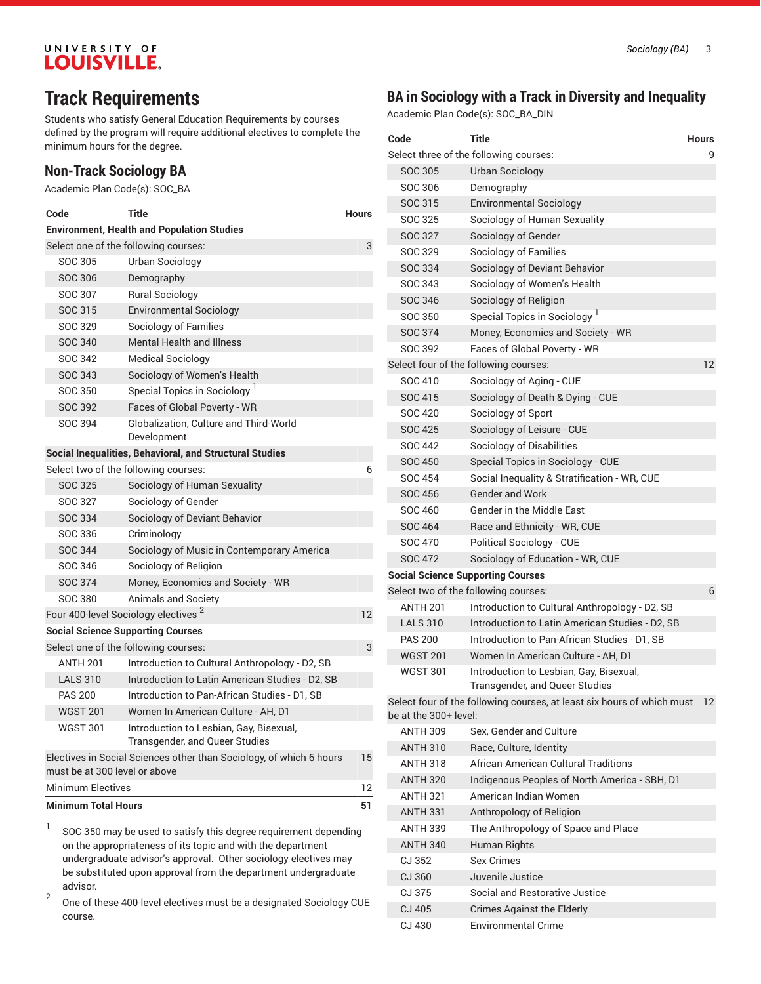# **Track Requirements**

Students who satisfy General Education Requirements by courses defined by the program will require additional electives to complete the minimum hours for the degree.

## **Non-Track Sociology BA**

Academic Plan Code(s): SOC\_BA

| Code                                                                                                       | Title                                                                     | <b>Hours</b> |  |  |  |  |
|------------------------------------------------------------------------------------------------------------|---------------------------------------------------------------------------|--------------|--|--|--|--|
| <b>Environment, Health and Population Studies</b>                                                          |                                                                           |              |  |  |  |  |
|                                                                                                            | Select one of the following courses:<br>3                                 |              |  |  |  |  |
| SOC 305                                                                                                    | Urban Sociology                                                           |              |  |  |  |  |
| SOC 306                                                                                                    | Demography                                                                |              |  |  |  |  |
| SOC 307                                                                                                    | <b>Rural Sociology</b>                                                    |              |  |  |  |  |
| SOC 315                                                                                                    | <b>Environmental Sociology</b>                                            |              |  |  |  |  |
| SOC 329                                                                                                    | Sociology of Families                                                     |              |  |  |  |  |
| <b>SOC 340</b>                                                                                             | <b>Mental Health and Illness</b>                                          |              |  |  |  |  |
| SOC 342                                                                                                    | <b>Medical Sociology</b>                                                  |              |  |  |  |  |
| <b>SOC 343</b>                                                                                             | Sociology of Women's Health                                               |              |  |  |  |  |
| SOC 350                                                                                                    | Special Topics in Sociology <sup>1</sup>                                  |              |  |  |  |  |
| SOC 392                                                                                                    | Faces of Global Poverty - WR                                              |              |  |  |  |  |
| SOC 394                                                                                                    | <b>Globalization, Culture and Third-World</b><br>Development              |              |  |  |  |  |
|                                                                                                            | Social Inequalities, Behavioral, and Structural Studies                   |              |  |  |  |  |
|                                                                                                            | Select two of the following courses:                                      | 6            |  |  |  |  |
| <b>SOC 325</b>                                                                                             | Sociology of Human Sexuality                                              |              |  |  |  |  |
| SOC 327                                                                                                    | Sociology of Gender                                                       |              |  |  |  |  |
| SOC 334                                                                                                    | Sociology of Deviant Behavior                                             |              |  |  |  |  |
| SOC 336                                                                                                    | Criminology                                                               |              |  |  |  |  |
| <b>SOC 344</b>                                                                                             | Sociology of Music in Contemporary America                                |              |  |  |  |  |
| SOC 346                                                                                                    | Sociology of Religion                                                     |              |  |  |  |  |
| <b>SOC 374</b>                                                                                             | Money, Economics and Society - WR                                         |              |  |  |  |  |
| SOC 380                                                                                                    | <b>Animals and Society</b>                                                |              |  |  |  |  |
|                                                                                                            | Four 400-level Sociology electives <sup>2</sup>                           | 12           |  |  |  |  |
|                                                                                                            | <b>Social Science Supporting Courses</b>                                  |              |  |  |  |  |
|                                                                                                            | Select one of the following courses:                                      | 3            |  |  |  |  |
| <b>ANTH 201</b>                                                                                            | Introduction to Cultural Anthropology - D2, SB                            |              |  |  |  |  |
| <b>LALS 310</b>                                                                                            | Introduction to Latin American Studies - D2, SB                           |              |  |  |  |  |
| <b>PAS 200</b>                                                                                             | Introduction to Pan-African Studies - D1, SB                              |              |  |  |  |  |
| <b>WGST 201</b>                                                                                            | Women In American Culture - AH. D1                                        |              |  |  |  |  |
| <b>WGST 301</b>                                                                                            | Introduction to Lesbian, Gay, Bisexual,<br>Transgender, and Queer Studies |              |  |  |  |  |
| 15<br>Electives in Social Sciences other than Sociology, of which 6 hours<br>must be at 300 level or above |                                                                           |              |  |  |  |  |
| <b>Minimum Electives</b>                                                                                   |                                                                           | 12           |  |  |  |  |
| <b>Minimum Total Hours</b><br>51                                                                           |                                                                           |              |  |  |  |  |

1 SOC 350 may be used to satisfy this degree requirement depending on the appropriateness of its topic and with the department undergraduate advisor's approval. Other sociology electives may be substituted upon approval from the department undergraduate advisor.

2 One of these 400-level electives must be a designated Sociology CUE course.

## **BA in Sociology with a Track in Diversity and Inequality**

Academic Plan Code(s): SOC\_BA\_DIN

| Code                                     | <b>Title</b>                                                              | <b>Hours</b>      |
|------------------------------------------|---------------------------------------------------------------------------|-------------------|
|                                          | Select three of the following courses:                                    | 9                 |
| SOC 305                                  | Urban Sociology                                                           |                   |
| SOC 306                                  | Demography                                                                |                   |
| SOC 315                                  | <b>Environmental Sociology</b>                                            |                   |
| SOC 325                                  | Sociology of Human Sexuality                                              |                   |
| SOC 327                                  | Sociology of Gender                                                       |                   |
| SOC 329                                  | <b>Sociology of Families</b>                                              |                   |
| SOC 334                                  | Sociology of Deviant Behavior                                             |                   |
| SOC 343                                  | Sociology of Women's Health                                               |                   |
| <b>SOC 346</b>                           | Sociology of Religion                                                     |                   |
| SOC 350                                  | Special Topics in Sociology <sup>1</sup>                                  |                   |
| SOC 374                                  | Money, Economics and Society - WR                                         |                   |
| SOC 392                                  | Faces of Global Poverty - WR                                              |                   |
|                                          | Select four of the following courses:                                     | 12                |
| SOC 410                                  | Sociology of Aging - CUE                                                  |                   |
| <b>SOC 415</b>                           | Sociology of Death & Dying - CUE                                          |                   |
| SOC 420                                  | Sociology of Sport                                                        |                   |
| <b>SOC 425</b>                           | Sociology of Leisure - CUE                                                |                   |
| <b>SOC 442</b>                           | Sociology of Disabilities                                                 |                   |
| <b>SOC 450</b>                           | Special Topics in Sociology - CUE                                         |                   |
| <b>SOC 454</b>                           | Social Inequality & Stratification - WR, CUE                              |                   |
| <b>SOC 456</b>                           | <b>Gender and Work</b>                                                    |                   |
| <b>SOC 460</b>                           | Gender in the Middle East                                                 |                   |
| <b>SOC 464</b>                           | Race and Ethnicity - WR, CUE                                              |                   |
| <b>SOC 470</b>                           | <b>Political Sociology - CUE</b>                                          |                   |
| <b>SOC 472</b>                           | Sociology of Education - WR, CUE                                          |                   |
| <b>Social Science Supporting Courses</b> |                                                                           |                   |
|                                          | Select two of the following courses:                                      | 6                 |
| <b>ANTH 201</b>                          | Introduction to Cultural Anthropology - D2, SB                            |                   |
| <b>LALS 310</b>                          | Introduction to Latin American Studies - D2, SB                           |                   |
| <b>PAS 200</b>                           | Introduction to Pan-African Studies - D1, SB                              |                   |
| <b>WGST 201</b>                          | Women In American Culture - AH, D1                                        |                   |
| <b>WGST 301</b>                          | Introduction to Lesbian, Gay, Bisexual,<br>Transgender, and Queer Studies |                   |
| be at the 300+ level:                    | Select four of the following courses, at least six hours of which must    | $12 \overline{ }$ |
| <b>ANTH 309</b>                          | Sex. Gender and Culture                                                   |                   |
| <b>ANTH 310</b>                          | Race, Culture, Identity                                                   |                   |
| <b>ANTH 318</b>                          | African-American Cultural Traditions                                      |                   |
| <b>ANTH 320</b>                          | Indigenous Peoples of North America - SBH, D1                             |                   |
| <b>ANTH 321</b>                          | American Indian Women                                                     |                   |
| <b>ANTH 331</b>                          | Anthropology of Religion                                                  |                   |
| <b>ANTH 339</b>                          | The Anthropology of Space and Place                                       |                   |
| <b>ANTH 340</b>                          | Human Rights                                                              |                   |
| CJ 352                                   | <b>Sex Crimes</b>                                                         |                   |
| CJ 360                                   | Juvenile Justice                                                          |                   |
| CJ 375                                   | Social and Restorative Justice                                            |                   |
| CJ 405                                   | <b>Crimes Against the Elderly</b>                                         |                   |
| CJ 430                                   | <b>Environmental Crime</b>                                                |                   |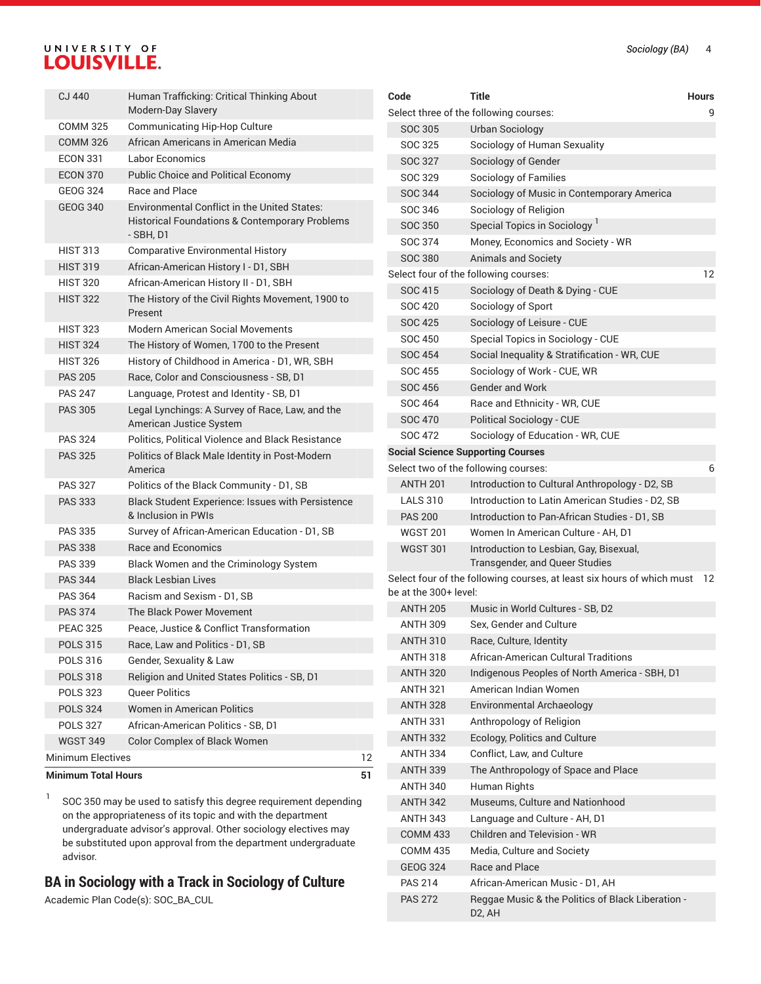| <b>Minimum Total Hours</b><br>51 |                   |                                                                                                                               |    |  |
|----------------------------------|-------------------|-------------------------------------------------------------------------------------------------------------------------------|----|--|
|                                  | Minimum Electives |                                                                                                                               | 12 |  |
|                                  | <b>WGST 349</b>   | Color Complex of Black Women                                                                                                  |    |  |
|                                  | <b>POLS 327</b>   | African-American Politics - SB, D1                                                                                            |    |  |
|                                  | <b>POLS 324</b>   | <b>Women in American Politics</b>                                                                                             |    |  |
|                                  | <b>POLS 323</b>   | <b>Oueer Politics</b>                                                                                                         |    |  |
|                                  | <b>POLS 318</b>   | Religion and United States Politics - SB, D1                                                                                  |    |  |
|                                  | <b>POLS 316</b>   | Gender, Sexuality & Law                                                                                                       |    |  |
|                                  | <b>POLS 315</b>   | Race, Law and Politics - D1, SB                                                                                               |    |  |
|                                  | <b>PEAC 325</b>   | Peace, Justice & Conflict Transformation                                                                                      |    |  |
| <b>PAS 374</b>                   |                   | The Black Power Movement                                                                                                      |    |  |
| <b>PAS 364</b>                   |                   | Racism and Sexism - D1, SB                                                                                                    |    |  |
| <b>PAS 344</b>                   |                   | Black Lesbian Lives                                                                                                           |    |  |
| <b>PAS 339</b>                   |                   | Black Women and the Criminology System                                                                                        |    |  |
| <b>PAS 338</b>                   |                   | Race and Economics                                                                                                            |    |  |
| <b>PAS 335</b>                   |                   | Survey of African-American Education - D1, SB                                                                                 |    |  |
| <b>PAS 333</b>                   |                   | Black Student Experience: Issues with Persistence<br>& Inclusion in PWIs                                                      |    |  |
| <b>PAS 327</b>                   |                   | Politics of the Black Community - D1, SB                                                                                      |    |  |
| <b>PAS 325</b>                   |                   | Politics of Black Male Identity in Post-Modern<br>America                                                                     |    |  |
| <b>PAS 324</b>                   |                   | Politics, Political Violence and Black Resistance                                                                             |    |  |
| <b>PAS 305</b>                   |                   | Legal Lynchings: A Survey of Race, Law, and the<br>American Justice System                                                    |    |  |
| <b>PAS 247</b>                   |                   | Language, Protest and Identity - SB, D1                                                                                       |    |  |
| <b>PAS 205</b>                   |                   | Race, Color and Consciousness - SB, D1                                                                                        |    |  |
|                                  | <b>HIST 326</b>   | History of Childhood in America - D1, WR, SBH                                                                                 |    |  |
|                                  | <b>HIST 324</b>   | The History of Women, 1700 to the Present                                                                                     |    |  |
|                                  | <b>HIST 323</b>   | Modern American Social Movements                                                                                              |    |  |
|                                  | <b>HIST 322</b>   | The History of the Civil Rights Movement, 1900 to<br>Present                                                                  |    |  |
|                                  | <b>HIST 320</b>   | African-American History II - D1, SBH                                                                                         |    |  |
|                                  | <b>HIST 319</b>   | African-American History I - D1, SBH                                                                                          |    |  |
|                                  | <b>HIST 313</b>   | <b>Comparative Environmental History</b>                                                                                      |    |  |
|                                  | <b>GEOG 340</b>   | <b>Environmental Conflict in the United States:</b><br><b>Historical Foundations &amp; Contemporary Problems</b><br>- SBH, D1 |    |  |
|                                  | <b>GEOG 324</b>   | Race and Place                                                                                                                |    |  |
|                                  | <b>ECON 370</b>   | <b>Public Choice and Political Economy</b>                                                                                    |    |  |
|                                  | <b>ECON 331</b>   | Labor Economics                                                                                                               |    |  |
|                                  | <b>COMM 326</b>   | African Americans in American Media                                                                                           |    |  |
|                                  | <b>COMM 325</b>   | Communicating Hip-Hop Culture                                                                                                 |    |  |
| CJ 440                           |                   | Human Trafficking: Critical Thinking About<br>Modern-Day Slavery                                                              |    |  |
|                                  |                   |                                                                                                                               |    |  |

1 SOC 350 may be used to satisfy this degree requirement depending on the appropriateness of its topic and with the department undergraduate advisor's approval. Other sociology electives may be substituted upon approval from the department undergraduate advisor.

## **BA in Sociology with a Track in Sociology of Culture**

Academic Plan Code(s): SOC\_BA\_CUL

| Code                                     | Title                                                                     | Hours |
|------------------------------------------|---------------------------------------------------------------------------|-------|
|                                          | Select three of the following courses:                                    | 9     |
| <b>SOC 305</b>                           | <b>Urban Sociology</b>                                                    |       |
| SOC 325                                  | Sociology of Human Sexuality                                              |       |
| SOC 327                                  | Sociology of Gender                                                       |       |
| SOC 329                                  | Sociology of Families                                                     |       |
| SOC 344                                  | Sociology of Music in Contemporary America                                |       |
| SOC 346                                  | Sociology of Religion                                                     |       |
| SOC 350                                  | Special Topics in Sociology <sup>1</sup>                                  |       |
| SOC 374                                  | Money, Economics and Society - WR                                         |       |
| SOC 380                                  | <b>Animals and Society</b>                                                |       |
| Select four of the following courses:    |                                                                           | 12    |
| SOC 415                                  | Sociology of Death & Dying - CUE                                          |       |
| SOC 420                                  | Sociology of Sport                                                        |       |
| <b>SOC 425</b>                           | Sociology of Leisure - CUE                                                |       |
| <b>SOC 450</b>                           | Special Topics in Sociology - CUE                                         |       |
| <b>SOC 454</b>                           | Social Inequality & Stratification - WR, CUE                              |       |
| SOC 455                                  | Sociology of Work - CUE, WR                                               |       |
| <b>SOC 456</b>                           | <b>Gender and Work</b>                                                    |       |
| SOC 464                                  | Race and Ethnicity - WR, CUE                                              |       |
| <b>SOC 470</b>                           | <b>Political Sociology - CUE</b>                                          |       |
| SOC 472                                  | Sociology of Education - WR, CUE                                          |       |
| <b>Social Science Supporting Courses</b> |                                                                           |       |
| Select two of the following courses:     |                                                                           | 6     |
| <b>ANTH 201</b>                          | Introduction to Cultural Anthropology - D2, SB                            |       |
| <b>LALS 310</b>                          | Introduction to Latin American Studies - D2, SB                           |       |
| <b>PAS 200</b>                           | Introduction to Pan-African Studies - D1, SB                              |       |
| <b>WGST 201</b>                          | Women In American Culture - AH, D1                                        |       |
| <b>WGST 301</b>                          | Introduction to Lesbian, Gay, Bisexual,<br>Transgender, and Queer Studies |       |
| be at the 300+ level:                    | Select four of the following courses, at least six hours of which must    | 12    |
| <b>ANTH 205</b>                          | Music in World Cultures - SB, D2                                          |       |
| <b>ANTH 309</b>                          | Sex, Gender and Culture                                                   |       |
| <b>ANTH 310</b>                          | Race, Culture, Identity                                                   |       |
| <b>ANTH 318</b>                          | African-American Cultural Traditions                                      |       |
| <b>ANTH 320</b>                          | Indigenous Peoples of North America - SBH, D1                             |       |
| <b>ANTH 321</b>                          | American Indian Women                                                     |       |
| <b>ANTH 328</b>                          | Environmental Archaeology                                                 |       |
| ANTH 331                                 | Anthropology of Religion                                                  |       |
| <b>ANTH 332</b>                          | Ecology, Politics and Culture                                             |       |
| ANTH 334                                 | Conflict, Law, and Culture                                                |       |
| <b>ANTH 339</b>                          | The Anthropology of Space and Place                                       |       |
| <b>ANTH 340</b>                          | Human Rights                                                              |       |
| <b>ANTH 342</b>                          | Museums, Culture and Nationhood                                           |       |
| <b>ANTH 343</b>                          | Language and Culture - AH, D1                                             |       |
| <b>COMM 433</b>                          | <b>Children and Television - WR</b>                                       |       |
| <b>COMM 435</b>                          | Media, Culture and Society                                                |       |
| <b>GEOG 324</b>                          | Race and Place                                                            |       |
| <b>PAS 214</b>                           | African-American Music - D1, AH                                           |       |
| <b>PAS 272</b>                           | Reggae Music & the Politics of Black Liberation -<br>D2, AH               |       |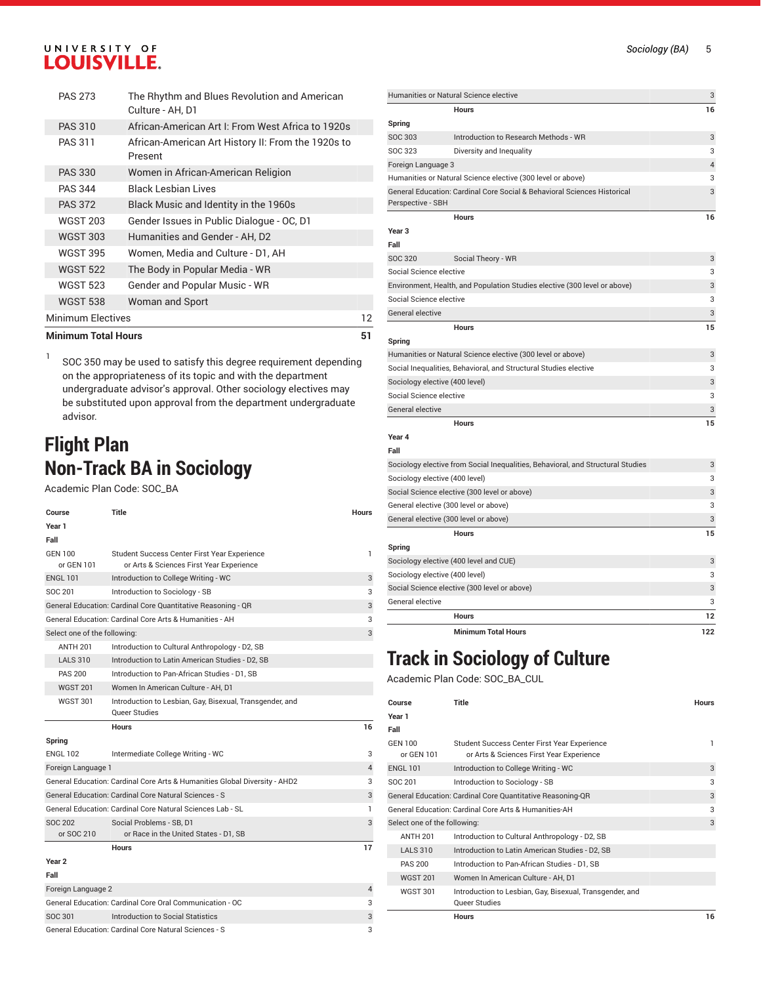| <b>Minimum Total Hours</b> |                                                                  |    |  |
|----------------------------|------------------------------------------------------------------|----|--|
| Minimum Electives          |                                                                  | 12 |  |
| <b>WGST 538</b>            | Woman and Sport                                                  |    |  |
| <b>WGST 523</b>            | Gender and Popular Music - WR                                    |    |  |
| <b>WGST 522</b>            | The Body in Popular Media - WR                                   |    |  |
| <b>WGST 395</b>            | Women, Media and Culture - D1, AH                                |    |  |
| <b>WGST 303</b>            | Humanities and Gender - AH, D2                                   |    |  |
| <b>WGST 203</b>            | Gender Issues in Public Dialogue - OC, D1                        |    |  |
| <b>PAS 372</b>             | Black Music and Identity in the 1960s                            |    |  |
| <b>PAS 344</b>             | Black Lesbian Lives                                              |    |  |
| <b>PAS 330</b>             | Women in African-American Religion                               |    |  |
| <b>PAS 311</b>             | African-American Art History II: From the 1920s to<br>Present    |    |  |
| <b>PAS 310</b>             | African-American Art I: From West Africa to 1920s                |    |  |
| <b>PAS 273</b>             | The Rhythm and Blues Revolution and American<br>Culture - AH, D1 |    |  |

1 SOC 350 may be used to satisfy this degree requirement depending on the appropriateness of its topic and with the department undergraduate advisor's approval. Other sociology electives may be substituted upon approval from the department undergraduate advisor.

## **Flight Plan Non-Track BA in Sociology**

Academic Plan Code: SOC\_BA

| Course                       | Title                                                                                    | <b>Hours</b>   |
|------------------------------|------------------------------------------------------------------------------------------|----------------|
| Year 1                       |                                                                                          |                |
| Fall                         |                                                                                          |                |
| <b>GEN 100</b><br>or GEN 101 | Student Success Center First Year Experience<br>or Arts & Sciences First Year Experience | 1              |
| <b>ENGL 101</b>              | Introduction to College Writing - WC                                                     | 3              |
| SOC 201                      | Introduction to Sociology - SB                                                           | 3              |
|                              | General Education: Cardinal Core Quantitative Reasoning - QR                             | 3              |
|                              | General Education: Cardinal Core Arts & Humanities - AH                                  | 3              |
| Select one of the following: |                                                                                          | 3              |
| <b>ANTH 201</b>              | Introduction to Cultural Anthropology - D2, SB                                           |                |
| <b>LALS 310</b>              | Introduction to Latin American Studies - D2, SB                                          |                |
| <b>PAS 200</b>               | Introduction to Pan-African Studies - D1, SB                                             |                |
| <b>WGST 201</b>              | Women In American Culture - AH. D1                                                       |                |
| <b>WGST 301</b>              | Introduction to Lesbian, Gay, Bisexual, Transgender, and<br>Queer Studies                |                |
|                              |                                                                                          |                |
|                              | <b>Hours</b>                                                                             | 16             |
| Spring                       |                                                                                          |                |
| <b>ENGL 102</b>              | Intermediate College Writing - WC                                                        | 3              |
| Foreign Language 1           |                                                                                          | $\overline{4}$ |
|                              | General Education: Cardinal Core Arts & Humanities Global Diversity - AHD2               | 3              |
|                              | General Education: Cardinal Core Natural Sciences - S                                    | 3              |
|                              | General Education: Cardinal Core Natural Sciences Lab - SL                               | 1              |
| SOC 202                      | Social Problems - SB, D1                                                                 | 3              |
| or SOC 210                   | or Race in the United States - D1, SB                                                    |                |
|                              | <b>Hours</b>                                                                             | 17             |
| Year <sub>2</sub>            |                                                                                          |                |
| Fall                         |                                                                                          |                |
| Foreign Language 2           |                                                                                          | 4              |
|                              | General Education: Cardinal Core Oral Communication - OC                                 | 3              |
| SOC 301                      | Introduction to Social Statistics                                                        | 3              |

| Humanities or Natural Science elective<br>3<br>16<br><b>Hours</b><br>Spring<br><b>SOC 303</b><br>Introduction to Research Methods - WR<br>3<br><b>SOC 323</b><br>Diversity and Inequality<br>3<br>4<br>Foreign Language 3<br>Humanities or Natural Science elective (300 level or above)<br>3<br>3<br>General Education: Cardinal Core Social & Behavioral Sciences Historical<br>Perspective - SBH<br><b>Hours</b><br>16<br>Year 3<br>Fall<br><b>SOC 320</b><br>3<br>Social Theory - WR<br>3<br>Social Science elective<br>Environment, Health, and Population Studies elective (300 level or above)<br>3<br>3<br>Social Science elective<br>General elective<br>3<br>15<br><b>Hours</b><br>Spring<br>Humanities or Natural Science elective (300 level or above)<br>3<br>Social Inequalities, Behavioral, and Structural Studies elective<br>3<br>3<br>Sociology elective (400 level)<br>Social Science elective<br>3<br>General elective<br>3<br>15<br><b>Hours</b><br>Year 4<br>Fall<br>Sociology elective from Social Inequalities, Behavioral, and Structural Studies<br>3<br>Sociology elective (400 level)<br>3<br>Social Science elective (300 level or above)<br>3<br>General elective (300 level or above)<br>3<br>General elective (300 level or above)<br>3<br>15<br><b>Hours</b><br>Spring<br>Sociology elective (400 level and CUE)<br>3<br>3<br>Sociology elective (400 level)<br>Social Science elective (300 level or above)<br>3<br>General elective<br>3<br>12<br><b>Hours</b> |  |  |
|----------------------------------------------------------------------------------------------------------------------------------------------------------------------------------------------------------------------------------------------------------------------------------------------------------------------------------------------------------------------------------------------------------------------------------------------------------------------------------------------------------------------------------------------------------------------------------------------------------------------------------------------------------------------------------------------------------------------------------------------------------------------------------------------------------------------------------------------------------------------------------------------------------------------------------------------------------------------------------------------------------------------------------------------------------------------------------------------------------------------------------------------------------------------------------------------------------------------------------------------------------------------------------------------------------------------------------------------------------------------------------------------------------------------------------------------------------------------------------------------------|--|--|
|                                                                                                                                                                                                                                                                                                                                                                                                                                                                                                                                                                                                                                                                                                                                                                                                                                                                                                                                                                                                                                                                                                                                                                                                                                                                                                                                                                                                                                                                                                    |  |  |
|                                                                                                                                                                                                                                                                                                                                                                                                                                                                                                                                                                                                                                                                                                                                                                                                                                                                                                                                                                                                                                                                                                                                                                                                                                                                                                                                                                                                                                                                                                    |  |  |
|                                                                                                                                                                                                                                                                                                                                                                                                                                                                                                                                                                                                                                                                                                                                                                                                                                                                                                                                                                                                                                                                                                                                                                                                                                                                                                                                                                                                                                                                                                    |  |  |
|                                                                                                                                                                                                                                                                                                                                                                                                                                                                                                                                                                                                                                                                                                                                                                                                                                                                                                                                                                                                                                                                                                                                                                                                                                                                                                                                                                                                                                                                                                    |  |  |
|                                                                                                                                                                                                                                                                                                                                                                                                                                                                                                                                                                                                                                                                                                                                                                                                                                                                                                                                                                                                                                                                                                                                                                                                                                                                                                                                                                                                                                                                                                    |  |  |
|                                                                                                                                                                                                                                                                                                                                                                                                                                                                                                                                                                                                                                                                                                                                                                                                                                                                                                                                                                                                                                                                                                                                                                                                                                                                                                                                                                                                                                                                                                    |  |  |
|                                                                                                                                                                                                                                                                                                                                                                                                                                                                                                                                                                                                                                                                                                                                                                                                                                                                                                                                                                                                                                                                                                                                                                                                                                                                                                                                                                                                                                                                                                    |  |  |
|                                                                                                                                                                                                                                                                                                                                                                                                                                                                                                                                                                                                                                                                                                                                                                                                                                                                                                                                                                                                                                                                                                                                                                                                                                                                                                                                                                                                                                                                                                    |  |  |
|                                                                                                                                                                                                                                                                                                                                                                                                                                                                                                                                                                                                                                                                                                                                                                                                                                                                                                                                                                                                                                                                                                                                                                                                                                                                                                                                                                                                                                                                                                    |  |  |
|                                                                                                                                                                                                                                                                                                                                                                                                                                                                                                                                                                                                                                                                                                                                                                                                                                                                                                                                                                                                                                                                                                                                                                                                                                                                                                                                                                                                                                                                                                    |  |  |
|                                                                                                                                                                                                                                                                                                                                                                                                                                                                                                                                                                                                                                                                                                                                                                                                                                                                                                                                                                                                                                                                                                                                                                                                                                                                                                                                                                                                                                                                                                    |  |  |
|                                                                                                                                                                                                                                                                                                                                                                                                                                                                                                                                                                                                                                                                                                                                                                                                                                                                                                                                                                                                                                                                                                                                                                                                                                                                                                                                                                                                                                                                                                    |  |  |
|                                                                                                                                                                                                                                                                                                                                                                                                                                                                                                                                                                                                                                                                                                                                                                                                                                                                                                                                                                                                                                                                                                                                                                                                                                                                                                                                                                                                                                                                                                    |  |  |
|                                                                                                                                                                                                                                                                                                                                                                                                                                                                                                                                                                                                                                                                                                                                                                                                                                                                                                                                                                                                                                                                                                                                                                                                                                                                                                                                                                                                                                                                                                    |  |  |
|                                                                                                                                                                                                                                                                                                                                                                                                                                                                                                                                                                                                                                                                                                                                                                                                                                                                                                                                                                                                                                                                                                                                                                                                                                                                                                                                                                                                                                                                                                    |  |  |
|                                                                                                                                                                                                                                                                                                                                                                                                                                                                                                                                                                                                                                                                                                                                                                                                                                                                                                                                                                                                                                                                                                                                                                                                                                                                                                                                                                                                                                                                                                    |  |  |
|                                                                                                                                                                                                                                                                                                                                                                                                                                                                                                                                                                                                                                                                                                                                                                                                                                                                                                                                                                                                                                                                                                                                                                                                                                                                                                                                                                                                                                                                                                    |  |  |
|                                                                                                                                                                                                                                                                                                                                                                                                                                                                                                                                                                                                                                                                                                                                                                                                                                                                                                                                                                                                                                                                                                                                                                                                                                                                                                                                                                                                                                                                                                    |  |  |
|                                                                                                                                                                                                                                                                                                                                                                                                                                                                                                                                                                                                                                                                                                                                                                                                                                                                                                                                                                                                                                                                                                                                                                                                                                                                                                                                                                                                                                                                                                    |  |  |
|                                                                                                                                                                                                                                                                                                                                                                                                                                                                                                                                                                                                                                                                                                                                                                                                                                                                                                                                                                                                                                                                                                                                                                                                                                                                                                                                                                                                                                                                                                    |  |  |
|                                                                                                                                                                                                                                                                                                                                                                                                                                                                                                                                                                                                                                                                                                                                                                                                                                                                                                                                                                                                                                                                                                                                                                                                                                                                                                                                                                                                                                                                                                    |  |  |
|                                                                                                                                                                                                                                                                                                                                                                                                                                                                                                                                                                                                                                                                                                                                                                                                                                                                                                                                                                                                                                                                                                                                                                                                                                                                                                                                                                                                                                                                                                    |  |  |
|                                                                                                                                                                                                                                                                                                                                                                                                                                                                                                                                                                                                                                                                                                                                                                                                                                                                                                                                                                                                                                                                                                                                                                                                                                                                                                                                                                                                                                                                                                    |  |  |
|                                                                                                                                                                                                                                                                                                                                                                                                                                                                                                                                                                                                                                                                                                                                                                                                                                                                                                                                                                                                                                                                                                                                                                                                                                                                                                                                                                                                                                                                                                    |  |  |
|                                                                                                                                                                                                                                                                                                                                                                                                                                                                                                                                                                                                                                                                                                                                                                                                                                                                                                                                                                                                                                                                                                                                                                                                                                                                                                                                                                                                                                                                                                    |  |  |
|                                                                                                                                                                                                                                                                                                                                                                                                                                                                                                                                                                                                                                                                                                                                                                                                                                                                                                                                                                                                                                                                                                                                                                                                                                                                                                                                                                                                                                                                                                    |  |  |
|                                                                                                                                                                                                                                                                                                                                                                                                                                                                                                                                                                                                                                                                                                                                                                                                                                                                                                                                                                                                                                                                                                                                                                                                                                                                                                                                                                                                                                                                                                    |  |  |
|                                                                                                                                                                                                                                                                                                                                                                                                                                                                                                                                                                                                                                                                                                                                                                                                                                                                                                                                                                                                                                                                                                                                                                                                                                                                                                                                                                                                                                                                                                    |  |  |
|                                                                                                                                                                                                                                                                                                                                                                                                                                                                                                                                                                                                                                                                                                                                                                                                                                                                                                                                                                                                                                                                                                                                                                                                                                                                                                                                                                                                                                                                                                    |  |  |
|                                                                                                                                                                                                                                                                                                                                                                                                                                                                                                                                                                                                                                                                                                                                                                                                                                                                                                                                                                                                                                                                                                                                                                                                                                                                                                                                                                                                                                                                                                    |  |  |
|                                                                                                                                                                                                                                                                                                                                                                                                                                                                                                                                                                                                                                                                                                                                                                                                                                                                                                                                                                                                                                                                                                                                                                                                                                                                                                                                                                                                                                                                                                    |  |  |
|                                                                                                                                                                                                                                                                                                                                                                                                                                                                                                                                                                                                                                                                                                                                                                                                                                                                                                                                                                                                                                                                                                                                                                                                                                                                                                                                                                                                                                                                                                    |  |  |
|                                                                                                                                                                                                                                                                                                                                                                                                                                                                                                                                                                                                                                                                                                                                                                                                                                                                                                                                                                                                                                                                                                                                                                                                                                                                                                                                                                                                                                                                                                    |  |  |
|                                                                                                                                                                                                                                                                                                                                                                                                                                                                                                                                                                                                                                                                                                                                                                                                                                                                                                                                                                                                                                                                                                                                                                                                                                                                                                                                                                                                                                                                                                    |  |  |
|                                                                                                                                                                                                                                                                                                                                                                                                                                                                                                                                                                                                                                                                                                                                                                                                                                                                                                                                                                                                                                                                                                                                                                                                                                                                                                                                                                                                                                                                                                    |  |  |
|                                                                                                                                                                                                                                                                                                                                                                                                                                                                                                                                                                                                                                                                                                                                                                                                                                                                                                                                                                                                                                                                                                                                                                                                                                                                                                                                                                                                                                                                                                    |  |  |
|                                                                                                                                                                                                                                                                                                                                                                                                                                                                                                                                                                                                                                                                                                                                                                                                                                                                                                                                                                                                                                                                                                                                                                                                                                                                                                                                                                                                                                                                                                    |  |  |
|                                                                                                                                                                                                                                                                                                                                                                                                                                                                                                                                                                                                                                                                                                                                                                                                                                                                                                                                                                                                                                                                                                                                                                                                                                                                                                                                                                                                                                                                                                    |  |  |

**Minimum Total Hours 122**

# **Track in Sociology of Culture**

Academic Plan Code: SOC\_BA\_CUL

| Course                       | Title                                                                                    | <b>Hours</b> |
|------------------------------|------------------------------------------------------------------------------------------|--------------|
| Year 1                       |                                                                                          |              |
| Fall                         |                                                                                          |              |
| <b>GEN 100</b><br>or GEN 101 | Student Success Center First Year Experience<br>or Arts & Sciences First Year Experience | 1            |
| <b>ENGL 101</b>              | Introduction to College Writing - WC                                                     | 3            |
| SOC 201                      | Introduction to Sociology - SB                                                           | 3            |
|                              | General Education: Cardinal Core Quantitative Reasoning-QR                               | 3            |
|                              | General Education: Cardinal Core Arts & Humanities-AH                                    | 3            |
| Select one of the following: |                                                                                          | 3            |
| <b>ANTH 201</b>              | Introduction to Cultural Anthropology - D2, SB                                           |              |
| <b>LALS 310</b>              | Introduction to Latin American Studies - D2, SB                                          |              |
| <b>PAS 200</b>               | Introduction to Pan-African Studies - D1. SB                                             |              |
| <b>WGST 201</b>              | Women In American Culture - AH, D1                                                       |              |
| <b>WGST 301</b>              | Introduction to Lesbian, Gay, Bisexual, Transgender, and<br><b>Queer Studies</b>         |              |
|                              | <b>Hours</b>                                                                             | 16           |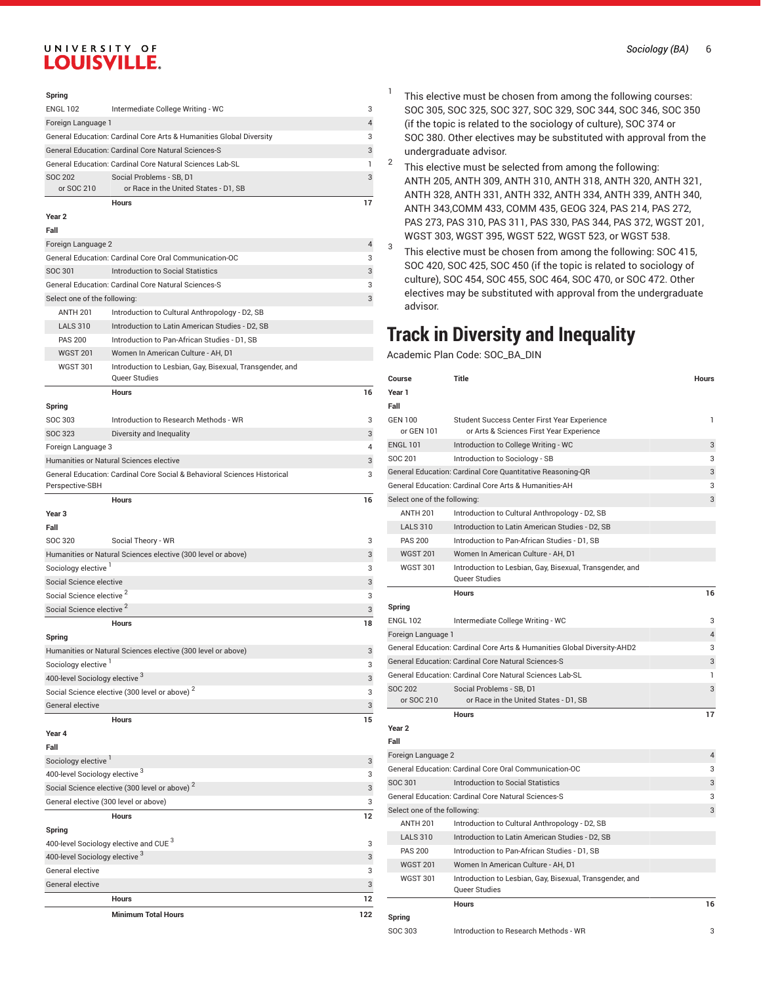400-level Sociology elective  $^3$ 

### **Spring**

|                                                                 | <b>Hours</b>                                                        |   |
|-----------------------------------------------------------------|---------------------------------------------------------------------|---|
| or SOC 210                                                      | or Race in the United States - D1, SB                               |   |
| SOC 202                                                         | Social Problems - SB, D1                                            |   |
| <b>General Education: Cardinal Core Natural Sciences Lab-SL</b> |                                                                     |   |
|                                                                 | General Education: Cardinal Core Natural Sciences-S                 | 3 |
|                                                                 | General Education: Cardinal Core Arts & Humanities Global Diversity | 3 |
| Foreign Language 1                                              |                                                                     |   |
| <b>ENGL 102</b>                                                 | Intermediate College Writing - WC                                   | 3 |

#### **Year 2**

| Fall                                                      |                                                                           |    |
|-----------------------------------------------------------|---------------------------------------------------------------------------|----|
| Foreign Language 2                                        |                                                                           | 4  |
|                                                           | General Education: Cardinal Core Oral Communication-OC                    | 3  |
| SOC 301                                                   | Introduction to Social Statistics                                         | 3  |
|                                                           | General Education: Cardinal Core Natural Sciences-S                       | 3  |
| Select one of the following:                              |                                                                           | 3  |
| <b>ANTH 201</b>                                           | Introduction to Cultural Anthropology - D2, SB                            |    |
| <b>LALS 310</b>                                           | Introduction to Latin American Studies - D2, SB                           |    |
| <b>PAS 200</b>                                            | Introduction to Pan-African Studies - D1, SB                              |    |
| <b>WGST 201</b>                                           | Women In American Culture - AH, D1                                        |    |
| <b>WGST 301</b>                                           | Introduction to Lesbian, Gay, Bisexual, Transgender, and<br>Queer Studies |    |
|                                                           | <b>Hours</b>                                                              | 16 |
| Spring                                                    |                                                                           |    |
| SOC 303                                                   | Introduction to Research Methods - WR                                     | 3  |
| SOC 323                                                   | Diversity and Inequality                                                  | 3  |
| Foreign Language 3                                        |                                                                           | 4  |
|                                                           | Humanities or Natural Sciences elective                                   | 3  |
|                                                           | General Education: Cardinal Core Social & Behavioral Sciences Historical  | 3  |
| Perspective-SBH                                           |                                                                           |    |
|                                                           | <b>Hours</b>                                                              | 16 |
| Year <sub>3</sub>                                         |                                                                           |    |
| Fall                                                      |                                                                           |    |
| SOC 320                                                   | Social Theory - WR                                                        | 3  |
|                                                           | Humanities or Natural Sciences elective (300 level or above)              | 3  |
| Sociology elective                                        |                                                                           | 3  |
| Social Science elective                                   |                                                                           | 3  |
| Social Science elective <sup>2</sup>                      |                                                                           | 3  |
| Social Science elective <sup>2</sup>                      |                                                                           | 3  |
|                                                           | <b>Hours</b>                                                              | 18 |
| Spring                                                    |                                                                           |    |
|                                                           | Humanities or Natural Sciences elective (300 level or above)              | 3  |
| Sociology elective <sup>1</sup>                           |                                                                           | 3  |
| 400-level Sociology elective 3                            |                                                                           | 3  |
|                                                           | Social Science elective (300 level or above) <sup>2</sup>                 | 3  |
| <b>General elective</b>                                   |                                                                           | 3  |
|                                                           | <b>Hours</b>                                                              | 15 |
| Year 4                                                    |                                                                           |    |
| Fall                                                      |                                                                           |    |
| Sociology elective <sup>1</sup>                           |                                                                           | 3  |
| 400-level Sociology elective 3                            |                                                                           | 3  |
| Social Science elective (300 level or above) <sup>2</sup> |                                                                           | 3  |
|                                                           | General elective (300 level or above)                                     | 3  |
|                                                           | <b>Hours</b>                                                              | 12 |
| Spring                                                    |                                                                           |    |
|                                                           | 400-level Sociology elective and CUE <sup>3</sup>                         | 3  |

General elective 3 General elective 3

> **Hours 12 Minimum Total Hours 122**

- *Sociology (BA)* 6
- This elective must be chosen from among the following courses: SOC 305, SOC 325, SOC 327, SOC 329, SOC 344, SOC 346, SOC 350 (if the topic is related to the sociology of culture), SOC 374 or SOC 380. Other electives may be substituted with approval from the undergraduate advisor.
- 2 This elective must be selected from among the following: ANTH 205, ANTH 309, ANTH 310, ANTH 318, ANTH 320, ANTH 321, ANTH 328, ANTH 331, ANTH 332, ANTH 334, ANTH 339, ANTH 340, ANTH 343,COMM 433, COMM 435, GEOG 324, PAS 214, PAS 272, PAS 273, PAS 310, PAS 311, PAS 330, PAS 344, PAS 372, WGST 201, WGST 303, WGST 395, WGST 522, WGST 523, or WGST 538.
- 3 This elective must be chosen from among the following: SOC 415, SOC 420, SOC 425, SOC 450 (if the topic is related to sociology of culture), SOC 454, SOC 455, SOC 464, SOC 470, or SOC 472. Other electives may be substituted with approval from the undergraduate advisor.

# **Track in Diversity and Inequality**

Academic Plan Code: SOC\_BA\_DIN

1

3

| Course                       | Title                                                                                    | Hours          |
|------------------------------|------------------------------------------------------------------------------------------|----------------|
| Year 1                       |                                                                                          |                |
| Fall                         |                                                                                          |                |
| <b>GEN 100</b><br>or GEN 101 | Student Success Center First Year Experience<br>or Arts & Sciences First Year Experience | 1              |
| <b>ENGL 101</b>              | Introduction to College Writing - WC                                                     | 3              |
| SOC 201                      | Introduction to Sociology - SB                                                           | 3              |
|                              | General Education: Cardinal Core Quantitative Reasoning-QR                               | 3              |
|                              | General Education: Cardinal Core Arts & Humanities-AH                                    | 3              |
| Select one of the following: |                                                                                          | 3              |
| <b>ANTH 201</b>              | Introduction to Cultural Anthropology - D2, SB                                           |                |
| <b>LALS 310</b>              | Introduction to Latin American Studies - D2, SB                                          |                |
| <b>PAS 200</b>               | Introduction to Pan-African Studies - D1, SB                                             |                |
| <b>WGST 201</b>              | Women In American Culture - AH. D1                                                       |                |
| <b>WGST 301</b>              | Introduction to Lesbian, Gay, Bisexual, Transgender, and<br><b>Queer Studies</b>         |                |
|                              | <b>Hours</b>                                                                             | 16             |
| Spring                       |                                                                                          |                |
| <b>ENGL 102</b>              | Intermediate College Writing - WC                                                        | 3              |
| Foreign Language 1           |                                                                                          | 4              |
|                              | General Education: Cardinal Core Arts & Humanities Global Diversity-AHD2                 | 3              |
|                              | General Education: Cardinal Core Natural Sciences-S                                      | 3              |
|                              | General Education: Cardinal Core Natural Sciences Lab-SL                                 | 1              |
| <b>SOC 202</b>               | Social Problems - SB, D1                                                                 | 3              |
| or SOC 210                   | or Race in the United States - D1, SB                                                    |                |
|                              | <b>Hours</b>                                                                             | 17             |
| Year <sub>2</sub>            |                                                                                          |                |
| Fall                         |                                                                                          |                |
| Foreign Language 2           |                                                                                          | $\overline{4}$ |
|                              | General Education: Cardinal Core Oral Communication-OC                                   | 3              |
| SOC 301                      | Introduction to Social Statistics                                                        | 3              |
|                              | General Education: Cardinal Core Natural Sciences-S                                      | 3              |
| Select one of the following: |                                                                                          | 3              |
| <b>ANTH 201</b>              | Introduction to Cultural Anthropology - D2, SB                                           |                |
| <b>LALS 310</b>              | Introduction to Latin American Studies - D2, SB                                          |                |
| <b>PAS 200</b>               | Introduction to Pan-African Studies - D1, SB                                             |                |
| <b>WGST 201</b>              | Women In American Culture - AH, D1                                                       |                |
| <b>WGST 301</b>              | Introduction to Lesbian, Gay, Bisexual, Transgender, and<br>Queer Studies                |                |
|                              | <b>Hours</b>                                                                             | 16             |
| Spring                       |                                                                                          |                |
| SOC 303                      | Introduction to Research Methods - WR                                                    | 3              |